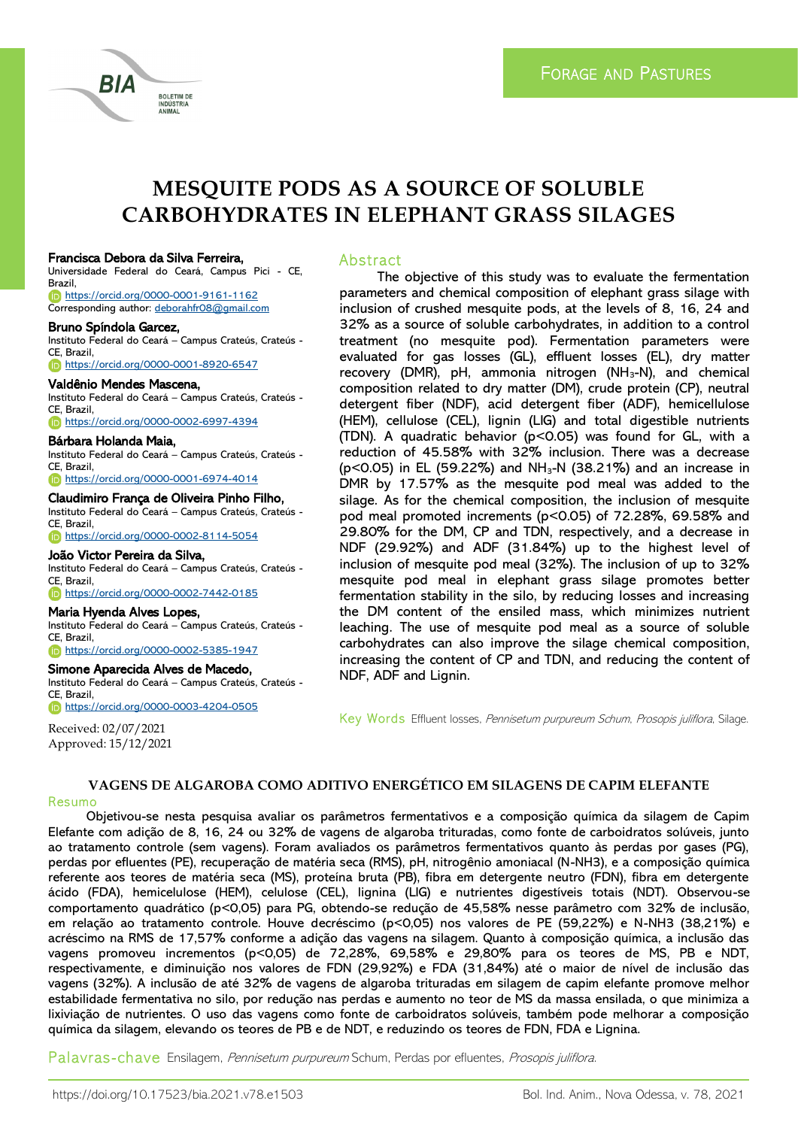

# **MESQUITE PODS AS A SOURCE OF SOLUBLE CARBOHYDRATES IN ELEPHANT GRASS SILAGES**

#### Francisca Debora da Silva Ferreira,

Universidade Federal do Ceará, Campus Pici - CE, Brazil, <https://orcid.org/0000-0001-9161-1162> Corresponding author: [deborahfr08@gmail.com](file:///C:/Users/lucas/Desktop/deborahfr08@gmail.com)

**BOLETIM DE** ANIMAL

#### Bruno Spíndola Garcez,

BIA

Instituto Federal do Ceará – Campus Crateús, Crateús - CE, Brazil, <https://orcid.org/0000-0001-8920-6547>

#### Valdênio Mendes Mascena,

Instituto Federal do Ceará – Campus Crateús, Crateús - CE, Brazil, <https://orcid.org/0000-0002-6997-4394>

## Bárbara Holanda Maia,

Instituto Federal do Ceará – Campus Crateús, Crateús - CE, Brazil,

<https://orcid.org/0000-0001-6974-4014>

#### Claudimiro França de Oliveira Pinho Filho,

Instituto Federal do Ceará – Campus Crateús, Crateús - CE, Brazil, <https://orcid.org/0000-0002-8114-5054>

#### João Victor Pereira da Silva,

Instituto Federal do Ceará – Campus Crateús, Crateús - CE, Brazil,

<https://orcid.org/0000-0002-7442-0185>

#### Maria Hyenda Alves Lopes,

Instituto Federal do Ceará – Campus Crateús, Crateús - CE, Brazil,

# <https://orcid.org/0000-0002-5385-1947>

Simone Aparecida Alves de Macedo,

Instituto Federal do Ceará – Campus Crateús, Crateús - CE, Brazil, <https://orcid.org/0000-0003-4204-0505>

Received: 02/07/2021 Approved: 15/12/2021

### Abstract

The objective of this study was to evaluate the fermentation parameters and chemical composition of elephant grass silage with inclusion of crushed mesquite pods, at the levels of 8, 16, 24 and 32% as a source of soluble carbohydrates, in addition to a control treatment (no mesquite pod). Fermentation parameters were evaluated for gas losses (GL), effluent losses (EL), dry matter recovery (DMR), pH, ammonia nitrogen (NH<sub>3</sub>-N), and chemical composition related to dry matter (DM), crude protein (CP), neutral detergent fiber (NDF), acid detergent fiber (ADF), hemicellulose (HEM), cellulose (CEL), lignin (LIG) and total digestible nutrients (TDN). A quadratic behavior ( $p$ <0.05) was found for GL, with a reduction of 45.58% with 32% inclusion. There was a decrease  $(p<0.05)$  in EL (59.22%) and NH<sub>3</sub>-N (38.21%) and an increase in DMR by 17.57% as the mesquite pod meal was added to the silage. As for the chemical composition, the inclusion of mesquite pod meal promoted increments (p<0.05) of 72.28%, 69.58% and 29.80% for the DM, CP and TDN, respectively, and a decrease in NDF (29.92%) and ADF (31.84%) up to the highest level of inclusion of mesquite pod meal (32%). The inclusion of up to 32% mesquite pod meal in elephant grass silage promotes better fermentation stability in the silo, by reducing losses and increasing the DM content of the ensiled mass, which minimizes nutrient leaching. The use of mesquite pod meal as a source of soluble carbohydrates can also improve the silage chemical composition, increasing the content of CP and TDN, and reducing the content of NDF, ADF and Lignin.

Key Words Effluent losses, Pennisetum purpureum Schum, Prosopis juliflora, Silage.

# **VAGENS DE ALGAROBA COMO ADITIVO ENERGÉTICO EM SILAGENS DE CAPIM ELEFANTE**

Resumo

Objetivou-se nesta pesquisa avaliar os parâmetros fermentativos e a composição química da silagem de Capim Elefante com adição de 8, 16, 24 ou 32% de vagens de algaroba trituradas, como fonte de carboidratos solúveis, junto ao tratamento controle (sem vagens). Foram avaliados os parâmetros fermentativos quanto às perdas por gases (PG), perdas por efluentes (PE), recuperação de matéria seca (RMS), pH, nitrogênio amoniacal (N-NH3), e a composição química referente aos teores de matéria seca (MS), proteína bruta (PB), fibra em detergente neutro (FDN), fibra em detergente ácido (FDA), hemicelulose (HEM), celulose (CEL), lignina (LIG) e nutrientes digestíveis totais (NDT). Observou-se comportamento quadrático (p<0,05) para PG, obtendo-se redução de 45,58% nesse parâmetro com 32% de inclusão, em relação ao tratamento controle. Houve decréscimo (p<0,05) nos valores de PE (59,22%) e N-NH3 (38,21%) e acréscimo na RMS de 17,57% conforme a adição das vagens na silagem. Quanto à composição química, a inclusão das vagens promoveu incrementos (p<0,05) de 72,28%, 69,58% e 29,80% para os teores de MS, PB e NDT, respectivamente, e diminuição nos valores de FDN (29,92%) e FDA (31,84%) até o maior de nível de inclusão das vagens (32%). A inclusão de até 32% de vagens de algaroba trituradas em silagem de capim elefante promove melhor estabilidade fermentativa no silo, por redução nas perdas e aumento no teor de MS da massa ensilada, o que minimiza a lixiviação de nutrientes. O uso das vagens como fonte de carboidratos solúveis, também pode melhorar a composição química da silagem, elevando os teores de PB e de NDT, e reduzindo os teores de FDN, FDA e Lignina.

Palavras-chave Ensilagem, Pennisetum purpureum Schum, Perdas por efluentes, Prosopis juliflora.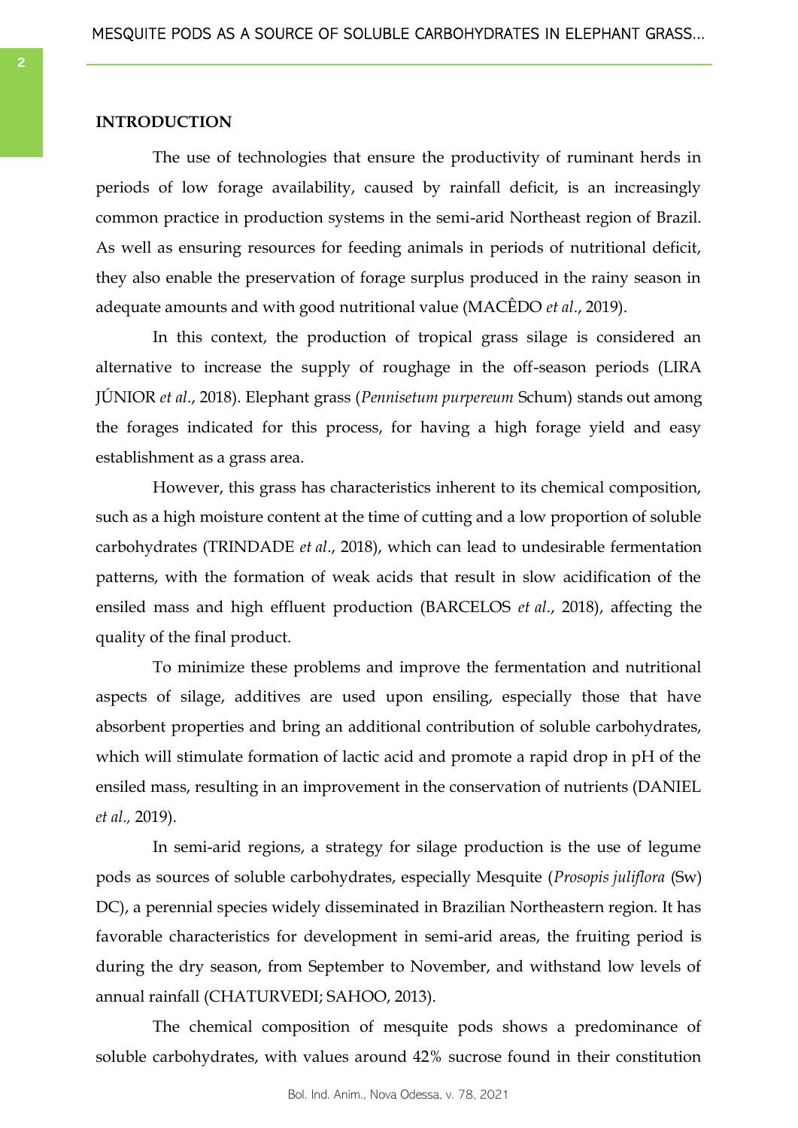# **INTRODUCTION**

The use of technologies that ensure the productivity of ruminant herds in periods of low forage availability, caused by rainfall deficit, is an increasingly common practice in production systems in the semi-arid Northeast region of Brazil. As well as ensuring resources for feeding animals in periods of nutritional deficit, they also enable the preservation of forage surplus produced in the rainy season in adequate amounts and with good nutritional value (MACÊDO *et al*., 2019).

In this context, the production of tropical grass silage is considered an alternative to increase the supply of roughage in the off-season periods (LIRA JÚNIOR *et al*., 2018). Elephant grass (*Pennisetum purpereum* Schum) stands out among the forages indicated for this process, for having a high forage yield and easy establishment as a grass area.

However, this grass has characteristics inherent to its chemical composition, such as a high moisture content at the time of cutting and a low proportion of soluble carbohydrates (TRINDADE *et al*., 2018), which can lead to undesirable fermentation patterns, with the formation of weak acids that result in slow acidification of the ensiled mass and high effluent production (BARCELOS *et al*., 2018), affecting the quality of the final product.

To minimize these problems and improve the fermentation and nutritional aspects of silage, additives are used upon ensiling, especially those that have absorbent properties and bring an additional contribution of soluble carbohydrates, which will stimulate formation of lactic acid and promote a rapid drop in pH of the ensiled mass, resulting in an improvement in the conservation of nutrients (DANIEL *et al.,* 2019).

In semi-arid regions, a strategy for silage production is the use of legume pods as sources of soluble carbohydrates, especially Mesquite (*Prosopis juliflora* (Sw) DC), a perennial species widely disseminated in Brazilian Northeastern region. It has favorable characteristics for development in semi-arid areas, the fruiting period is during the dry season, from September to November, and withstand low levels of annual rainfall (CHATURVEDI; SAHOO, 2013).

The chemical composition of mesquite pods shows a predominance of soluble carbohydrates, with values around 42% sucrose found in their constitution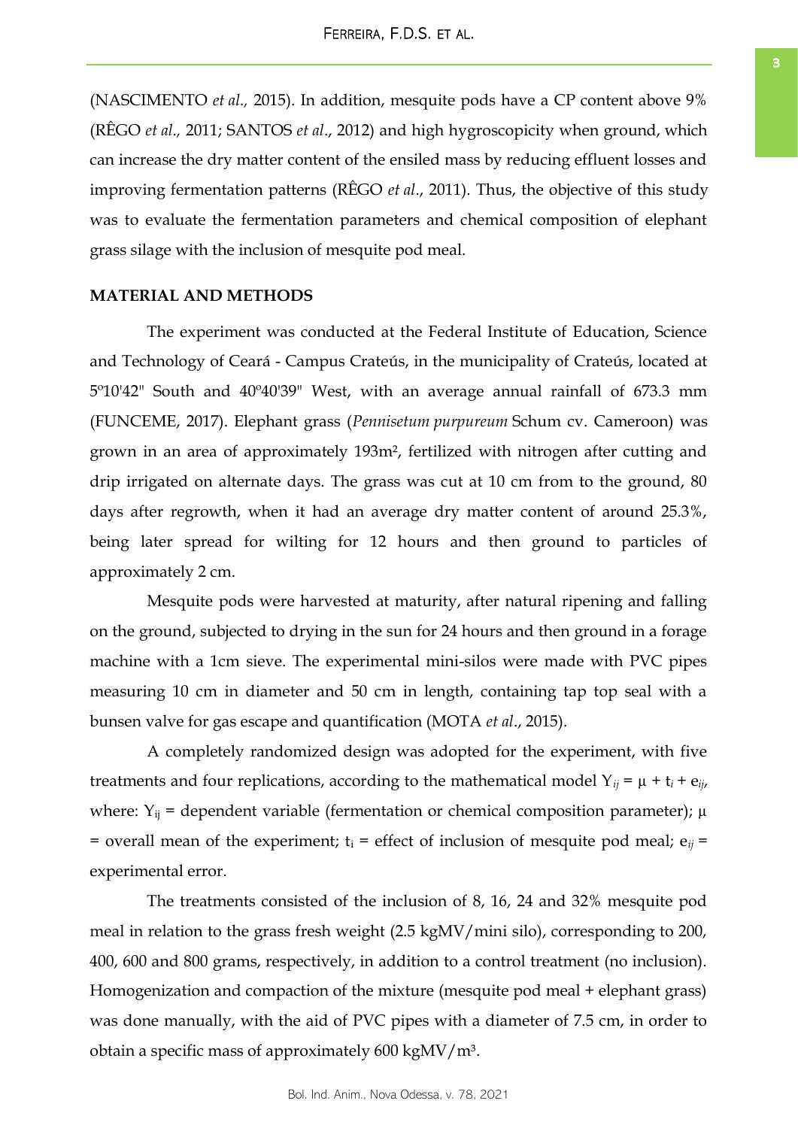(NASCIMENTO *et al.,* 2015). In addition, mesquite pods have a CP content above 9% (RÊGO *et al.,* 2011; SANTOS *et al*., 2012) and high hygroscopicity when ground, which can increase the dry matter content of the ensiled mass by reducing effluent losses and improving fermentation patterns (RÊGO *et al*., 2011). Thus, the objective of this study was to evaluate the fermentation parameters and chemical composition of elephant grass silage with the inclusion of mesquite pod meal.

# **MATERIAL AND METHODS**

The experiment was conducted at the Federal Institute of Education, Science and Technology of Ceará - Campus Crateús, in the municipality of Crateús, located at 5º10'42" South and 40º40'39" West, with an average annual rainfall of 673.3 mm (FUNCEME, 2017). Elephant grass (*Pennisetum purpureum* Schum cv. Cameroon) was grown in an area of approximately 193m², fertilized with nitrogen after cutting and drip irrigated on alternate days. The grass was cut at 10 cm from to the ground, 80 days after regrowth, when it had an average dry matter content of around 25.3%, being later spread for wilting for 12 hours and then ground to particles of approximately 2 cm.

Mesquite pods were harvested at maturity, after natural ripening and falling on the ground, subjected to drying in the sun for 24 hours and then ground in a forage machine with a 1cm sieve. The experimental mini-silos were made with PVC pipes measuring 10 cm in diameter and 50 cm in length, containing tap top seal with a bunsen valve for gas escape and quantification (MOTA *et al*., 2015).

A completely randomized design was adopted for the experiment, with five treatments and four replications, according to the mathematical model  $Y_{ij} = \mu + t_i + e_{ij}$ , where:  $Y_{ij}$  = dependent variable (fermentation or chemical composition parameter);  $\mu$ = overall mean of the experiment;  $t_i$  = effect of inclusion of mesquite pod meal;  $e_{ii}$  = experimental error.

The treatments consisted of the inclusion of 8, 16, 24 and 32% mesquite pod meal in relation to the grass fresh weight (2.5 kgMV/mini silo), corresponding to 200, 400, 600 and 800 grams, respectively, in addition to a control treatment (no inclusion). Homogenization and compaction of the mixture (mesquite pod meal + elephant grass) was done manually, with the aid of PVC pipes with a diameter of 7.5 cm, in order to obtain a specific mass of approximately  $600 \text{ kgMV/m}^3$ .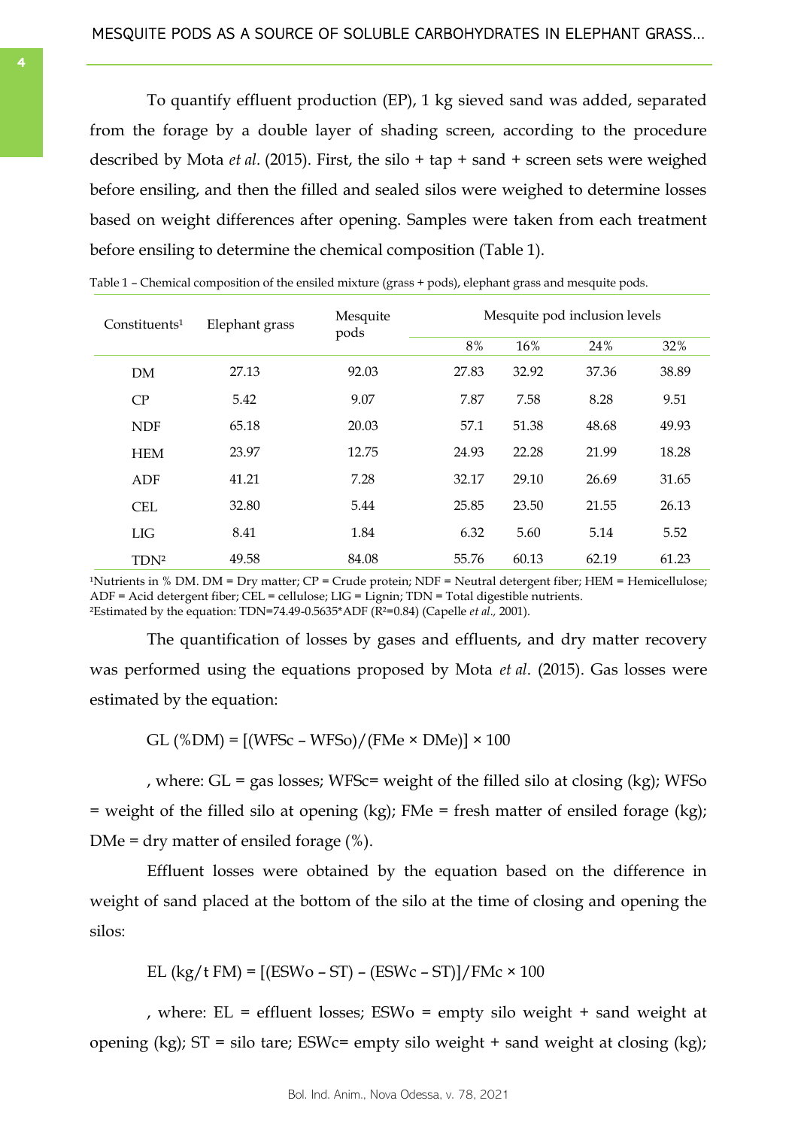<span id="page-3-0"></span>To quantify effluent production (EP), 1 kg sieved sand was added, separated from the forage by a double layer of shading screen, according to the procedure described by Mota *et al.* (2015). First, the silo + tap + sand + screen sets were weighed before ensiling, and then the filled and sealed silos were weighed to determine losses based on weight differences after opening. Samples were taken from each treatment before ensiling to determine the chemical composition (Table 1).

| Constituents <sup>1</sup> | Elephant grass | Mesquite<br>pods | Mesquite pod inclusion levels |       |       |       |  |
|---------------------------|----------------|------------------|-------------------------------|-------|-------|-------|--|
|                           |                |                  | 8%                            | 16%   | 24%   | 32%   |  |
| DM                        | 27.13          | 92.03            | 27.83                         | 32.92 | 37.36 | 38.89 |  |
| CP                        | 5.42           | 9.07             | 7.87                          | 7.58  | 8.28  | 9.51  |  |
| <b>NDF</b>                | 65.18          | 20.03            | 57.1                          | 51.38 | 48.68 | 49.93 |  |
| <b>HEM</b>                | 23.97          | 12.75            | 24.93                         | 22.28 | 21.99 | 18.28 |  |
| ADF                       | 41.21          | 7.28             | 32.17                         | 29.10 | 26.69 | 31.65 |  |
| CEL.                      | 32.80          | 5.44             | 25.85                         | 23.50 | 21.55 | 26.13 |  |
| LIG                       | 8.41           | 1.84             | 6.32                          | 5.60  | 5.14  | 5.52  |  |
| TDN <sup>2</sup>          | 49.58          | 84.08            | 55.76                         | 60.13 | 62.19 | 61.23 |  |

| Table 1 – Chemical composition of the ensiled mixture (grass + pods), elephant grass and mesquite pods. |  |  |  |  |  |  |  |  |
|---------------------------------------------------------------------------------------------------------|--|--|--|--|--|--|--|--|
|---------------------------------------------------------------------------------------------------------|--|--|--|--|--|--|--|--|

<sup>1</sup>Nutrients in % DM. DM = Dry matter;  $CP =$  Crude protein;  $NDF =$  Neutral detergent fiber; HEM = Hemicellulose; ADF = Acid detergent fiber; CEL = cellulose; LIG = Lignin; TDN = Total digestible nutrients. <sup>2</sup>Estimated by the equation: TDN=74.49-0.5635\*ADF ( $\tilde{R}^{2}=0.84$ ) (Capelle *et al.*, 2001).

The quantification of losses by gases and effluents, and dry matter recovery was performed using the equations proposed by Mota *et al*. (2015). Gas losses were estimated by the equation:

GL  $(\%DM) = [(WFSc - WFSo)/(FMe \times DMe)] \times 100$ 

, where:  $GL = gas$  losses; WFSc= weight of the filled silo at closing (kg); WFSo = weight of the filled silo at opening (kg); FMe = fresh matter of ensiled forage (kg); DMe = dry matter of ensiled forage  $(\%).$ 

Effluent losses were obtained by the equation based on the difference in weight of sand placed at the bottom of the silo at the time of closing and opening the silos:

$$
EL (kg/t FM) = [(ESWo - ST) - (ESWc - ST)] / FMc \times 100
$$

, where: EL = effluent losses; ESWo = empty silo weight + sand weight at opening (kg); ST = silo tare; ESWc= empty silo weight + sand weight at closing (kg);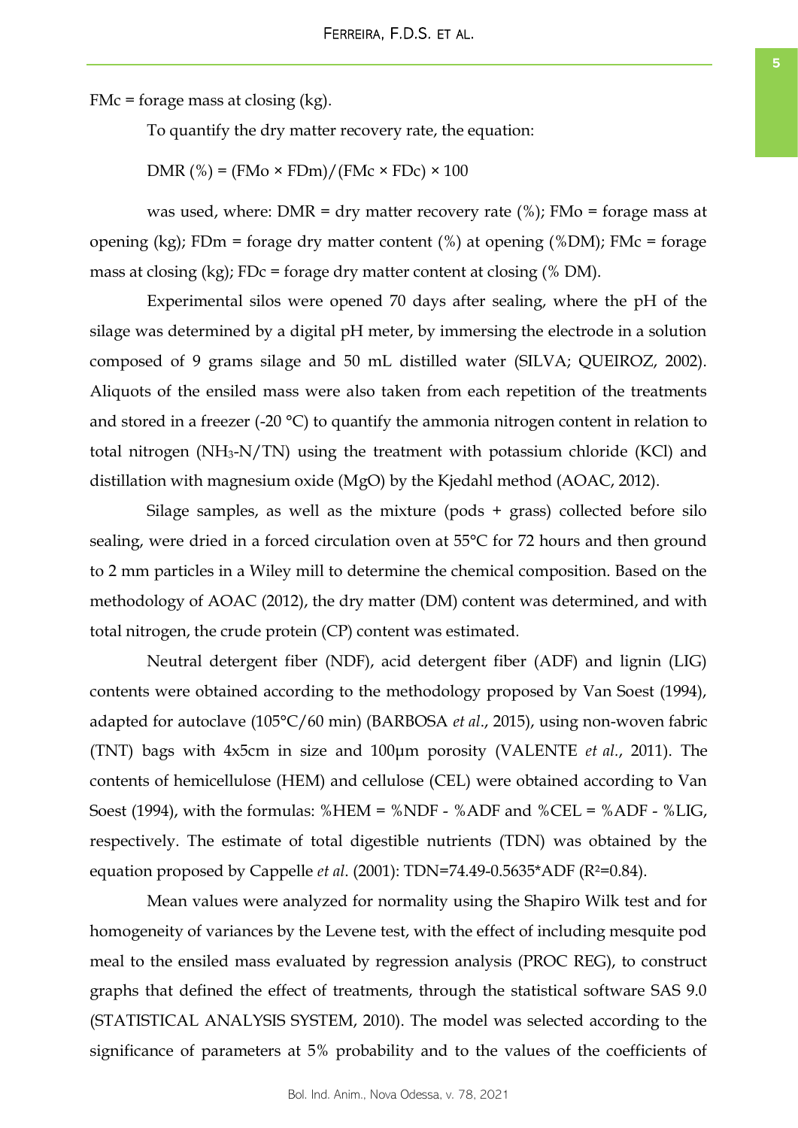FMc = forage mass at closing  $(kg)$ .

To quantify the dry matter recovery rate, the equation:

DMR  $%$  = (FMo  $\times$  FDm)/(FMc  $\times$  FDc)  $\times$  100

was used, where: DMR = dry matter recovery rate  $(\%)$ ; FMo = forage mass at opening (kg); FDm = forage dry matter content (%) at opening (%DM); FMc = forage mass at closing  $(kg)$ ; FDc = forage dry matter content at closing  $%$  DM).

Experimental silos were opened 70 days after sealing, where the pH of the silage was determined by a digital pH meter, by immersing the electrode in a solution composed of 9 grams silage and 50 mL distilled water (SILVA; QUEIROZ, 2002). Aliquots of the ensiled mass were also taken from each repetition of the treatments and stored in a freezer (-20  $^{\circ}$ C) to quantify the ammonia nitrogen content in relation to total nitrogen  $(NH_3-N/TN)$  using the treatment with potassium chloride (KCl) and distillation with magnesium oxide (MgO) by the Kjedahl method (AOAC, 2012).

Silage samples, as well as the mixture (pods + grass) collected before silo sealing, were dried in a forced circulation oven at 55°C for 72 hours and then ground to 2 mm particles in a Wiley mill to determine the chemical composition. Based on the methodology of AOAC (2012), the dry matter (DM) content was determined, and with total nitrogen, the crude protein (CP) content was estimated.

Neutral detergent fiber (NDF), acid detergent fiber (ADF) and lignin (LIG) contents were obtained according to the methodology proposed by Van Soest (1994), adapted for autoclave (105°C/60 min) (BARBOSA *et al*., 2015), using non-woven fabric (TNT) bags with 4x5cm in size and 100μm porosity (VALENTE *et al.*, 2011). The contents of hemicellulose (HEM) and cellulose (CEL) were obtained according to Van Soest (1994), with the formulas: %HEM = %NDF - %ADF and %CEL = %ADF - %LIG, respectively. The estimate of total digestible nutrients (TDN) was obtained by the equation proposed by Cappelle *et al*. (2001): TDN=74.49-0.5635\*ADF (R²=0.84).

Mean values were analyzed for normality using the Shapiro Wilk test and for homogeneity of variances by the Levene test, with the effect of including mesquite pod meal to the ensiled mass evaluated by regression analysis (PROC REG), to construct graphs that defined the effect of treatments, through the statistical software SAS 9.0 (STATISTICAL ANALYSIS SYSTEM, 2010). The model was selected according to the significance of parameters at 5% probability and to the values of the coefficients of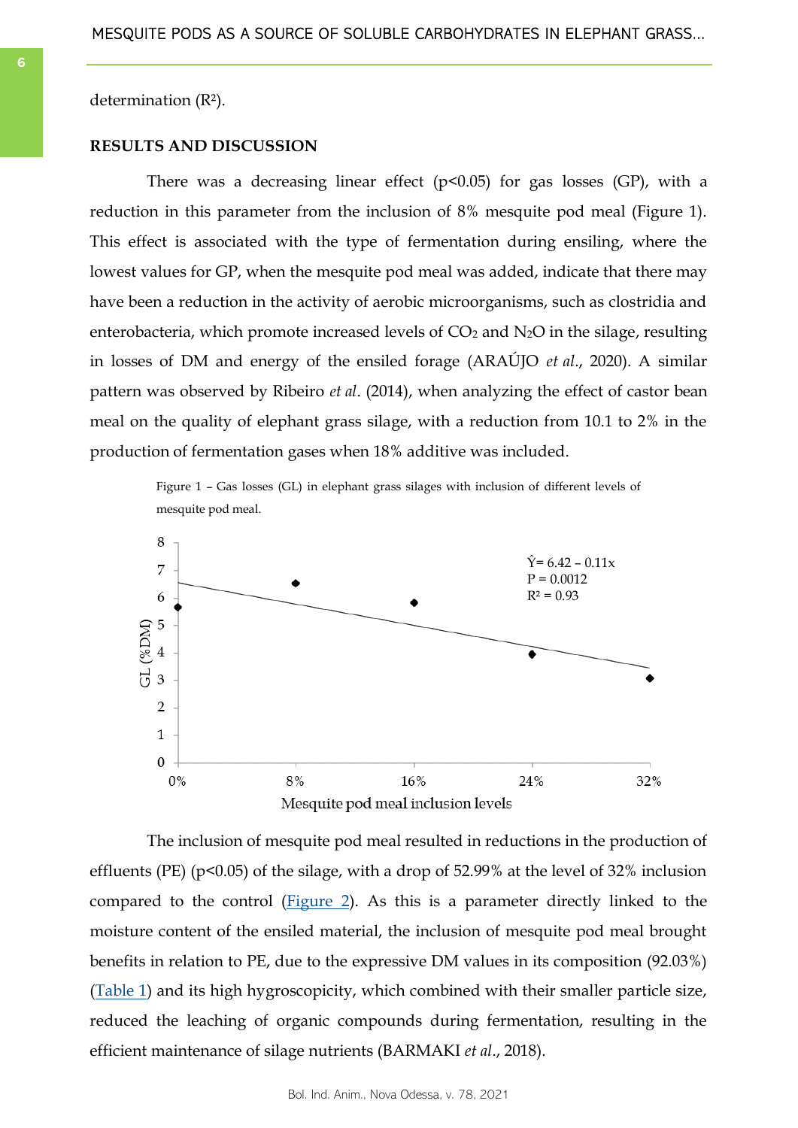determination (R²).

# **RESULTS AND DISCUSSION**

There was a decreasing linear effect  $(p<0.05)$  for gas losses (GP), with a reduction in this parameter from the inclusion of 8% mesquite pod meal (Figure 1). This effect is associated with the type of fermentation during ensiling, where the lowest values for GP, when the mesquite pod meal was added, indicate that there may have been a reduction in the activity of aerobic microorganisms, such as clostridia and enterobacteria, which promote increased levels of  $CO<sub>2</sub>$  and  $N<sub>2</sub>O$  in the silage, resulting in losses of DM and energy of the ensiled forage (ARAÚJO *et al*., 2020). A similar pattern was observed by Ribeiro *et al*. (2014), when analyzing the effect of castor bean meal on the quality of elephant grass silage, with a reduction from 10.1 to 2% in the production of fermentation gases when 18% additive was included.

> Figure 1 – Gas losses (GL) in elephant grass silages with inclusion of different levels of mesquite pod meal.



The inclusion of mesquite pod meal resulted in reductions in the production of effluents (PE) (p<0.05) of the silage, with a drop of 52.99% at the level of 32% inclusion compared to the control ([Figure 2\).](#page-6-0) As this is a parameter directly linked to the moisture content of the ensiled material, the inclusion of mesquite pod meal brought benefits in relation to PE, due to the expressive DM values in its composition (92.03%) [\(Table 1\)](#page-3-0) and its high hygroscopicity, which combined with their smaller particle size, reduced the leaching of organic compounds during fermentation, resulting in the efficient maintenance of silage nutrients (BARMAKI *et al*., 2018).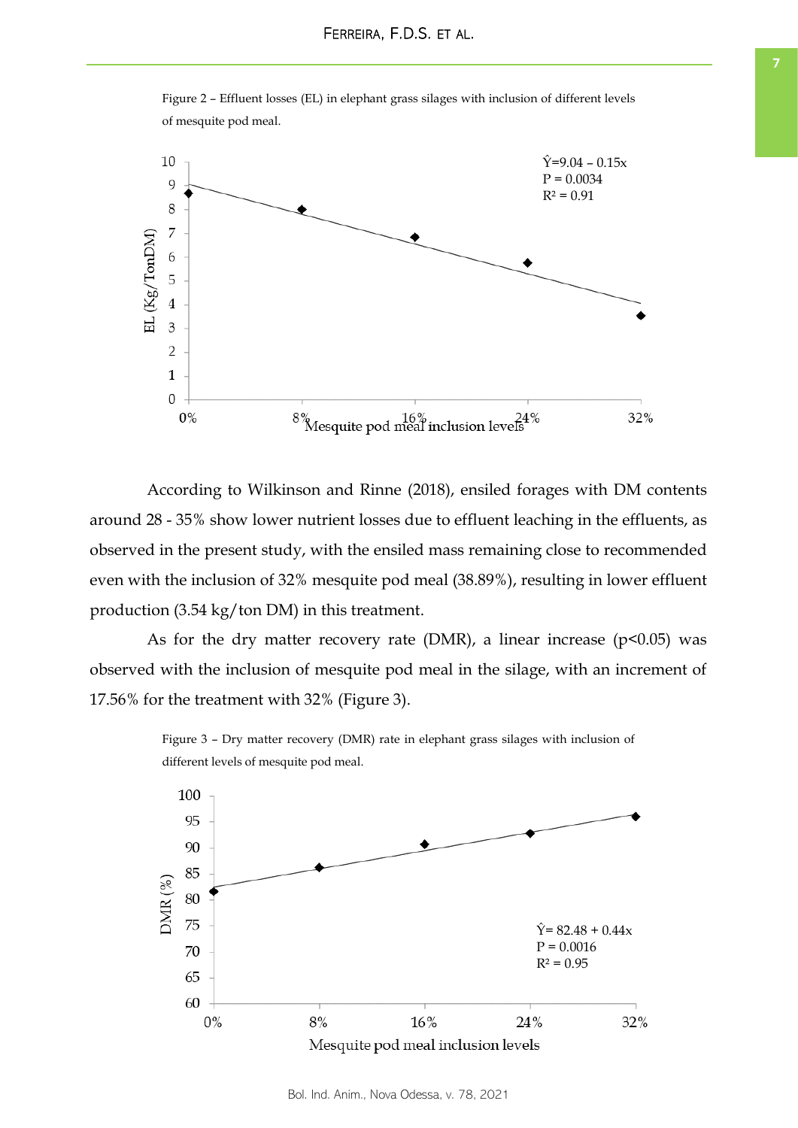

<span id="page-6-0"></span>Figure 2 – Effluent losses (EL) in elephant grass silages with inclusion of different levels of mesquite pod meal.

According to Wilkinson and Rinne (2018), ensiled forages with DM contents around 28 - 35% show lower nutrient losses due to effluent leaching in the effluents, as observed in the present study, with the ensiled mass remaining close to recommended even with the inclusion of 32% mesquite pod meal (38.89%), resulting in lower effluent production (3.54 kg/ton DM) in this treatment.

As for the dry matter recovery rate (DMR), a linear increase ( $p$ <0.05) was observed with the inclusion of mesquite pod meal in the silage, with an increment of 17.56% for the treatment with 32% (Figure 3).



Figure 3 – Dry matter recovery (DMR) rate in elephant grass silages with inclusion of different levels of mesquite pod meal.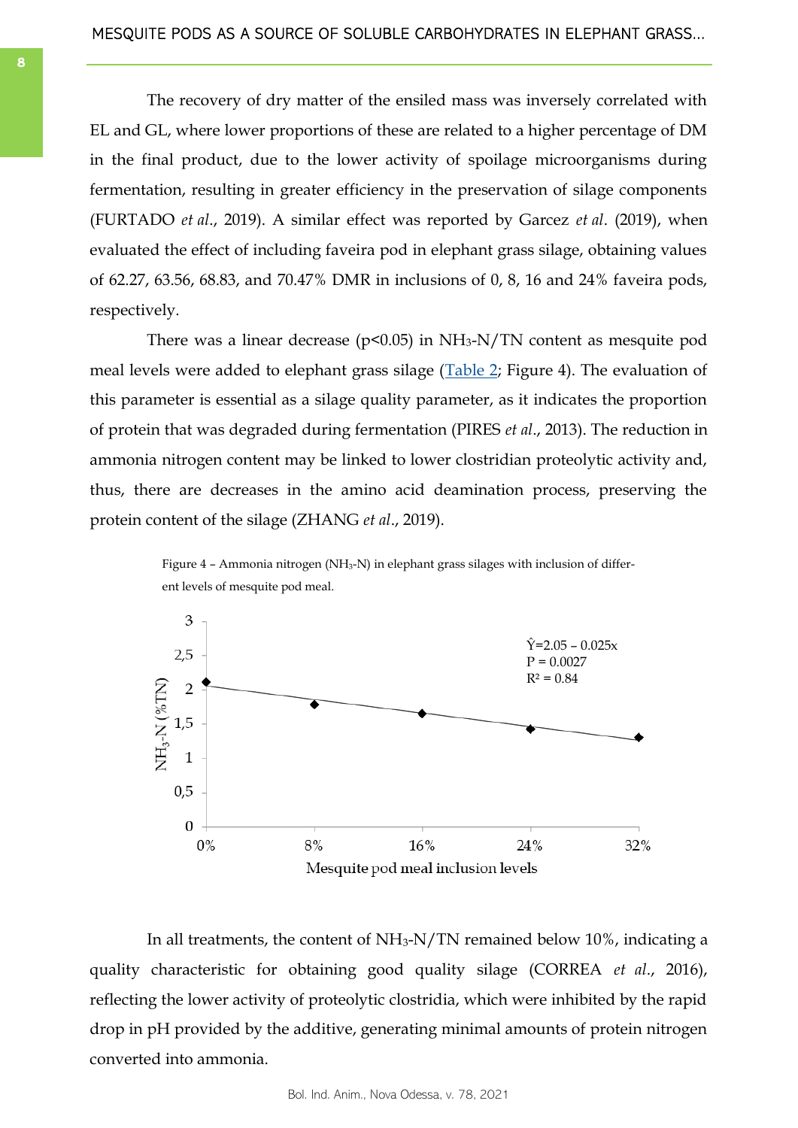The recovery of dry matter of the ensiled mass was inversely correlated with EL and GL, where lower proportions of these are related to a higher percentage of DM in the final product, due to the lower activity of spoilage microorganisms during fermentation, resulting in greater efficiency in the preservation of silage components (FURTADO *et al*., 2019). A similar effect was reported by Garcez *et al*. (2019), when evaluated the effect of including faveira pod in elephant grass silage, obtaining values of 62.27, 63.56, 68.83, and 70.47% DMR in inclusions of 0, 8, 16 and 24% faveira pods, respectively.

There was a linear decrease ( $p$ <0.05) in NH<sub>3</sub>-N/TN content as mesquite pod meal levels were added to elephant grass silage ([Table 2;](#page-8-0) Figure 4). The evaluation of this parameter is essential as a silage quality parameter, as it indicates the proportion of protein that was degraded during fermentation (PIRES *et al*., 2013). The reduction in ammonia nitrogen content may be linked to lower clostridian proteolytic activity and, thus, there are decreases in the amino acid deamination process, preserving the protein content of the silage (ZHANG *et al*., 2019).





In all treatments, the content of NH3-N/TN remained below 10%, indicating a quality characteristic for obtaining good quality silage (CORREA *et al*., 2016), reflecting the lower activity of proteolytic clostridia, which were inhibited by the rapid drop in pH provided by the additive, generating minimal amounts of protein nitrogen converted into ammonia.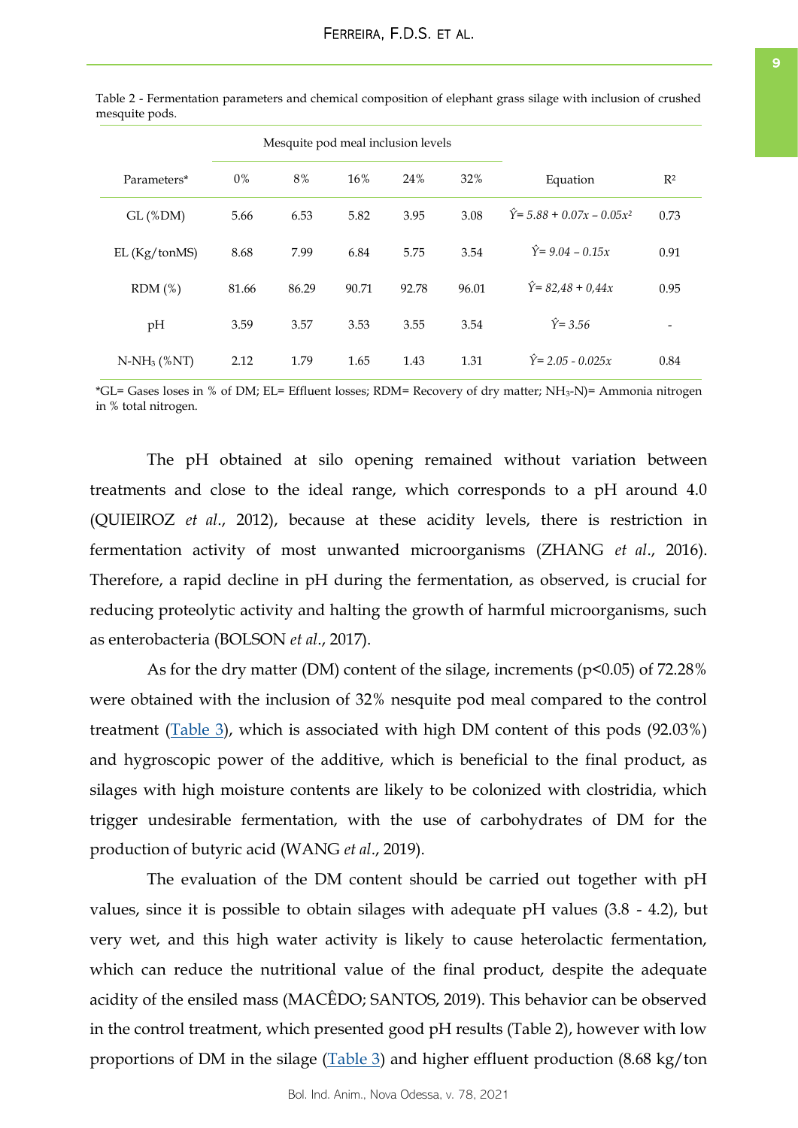|                |       | Mesquite pod meal inclusion levels |       |       |       |                                               |       |
|----------------|-------|------------------------------------|-------|-------|-------|-----------------------------------------------|-------|
| Parameters*    | $0\%$ | 8%                                 | 16%   | 24%   | 32%   | Equation                                      | $R^2$ |
| $GL$ (%DM)     | 5.66  | 6.53                               | 5.82  | 3.95  | 3.08  | $\hat{Y}$ = 5.88 + 0.07x – 0.05x <sup>2</sup> | 0.73  |
| EL(Kg/tonMS)   | 8.68  | 7.99                               | 6.84  | 5.75  | 3.54  | $\hat{Y} = 9.04 - 0.15x$                      | 0.91  |
| RDM(%)         | 81.66 | 86.29                              | 90.71 | 92.78 | 96.01 | $\hat{Y}$ = 82,48 + 0,44x                     | 0.95  |
| pH             | 3.59  | 3.57                               | 3.53  | 3.55  | 3.54  | $\hat{Y} = 3.56$                              | -     |
| $N-NH_3$ (%NT) | 2.12  | 1.79                               | 1.65  | 1.43  | 1.31  | $\hat{Y}$ = 2.05 - 0.025 x                    | 0.84  |

<span id="page-8-0"></span>Table 2 - Fermentation parameters and chemical composition of elephant grass silage with inclusion of crushed mesquite pods.

\*GL= Gases loses in % of DM; EL= Effluent losses; RDM= Recovery of dry matter; NH3-N)= Ammonia nitrogen in % total nitrogen.

The pH obtained at silo opening remained without variation between treatments and close to the ideal range, which corresponds to a pH around 4.0 (QUIEIROZ *et al*., 2012), because at these acidity levels, there is restriction in fermentation activity of most unwanted microorganisms (ZHANG *et al*., 2016). Therefore, a rapid decline in pH during the fermentation, as observed, is crucial for reducing proteolytic activity and halting the growth of harmful microorganisms, such as enterobacteria (BOLSON *et al*., 2017).

As for the dry matter (DM) content of the silage, increments ( $p<0.05$ ) of 72.28% were obtained with the inclusion of 32% nesquite pod meal compared to the control treatment [\(Table 3\),](#page-9-0) which is associated with high DM content of this pods (92.03%) and hygroscopic power of the additive, which is beneficial to the final product, as silages with high moisture contents are likely to be colonized with clostridia, which trigger undesirable fermentation, with the use of carbohydrates of DM for the production of butyric acid (WANG *et al*., 2019).

The evaluation of the DM content should be carried out together with pH values, since it is possible to obtain silages with adequate pH values (3.8 - 4.2), but very wet, and this high water activity is likely to cause heterolactic fermentation, which can reduce the nutritional value of the final product, despite the adequate acidity of the ensiled mass (MACÊDO; SANTOS, 2019). This behavior can be observed in the control treatment, which presented good pH results (Table 2), however with low proportions of DM in the silage  $(Table 3)$  and higher effluent production (8.68 kg/ton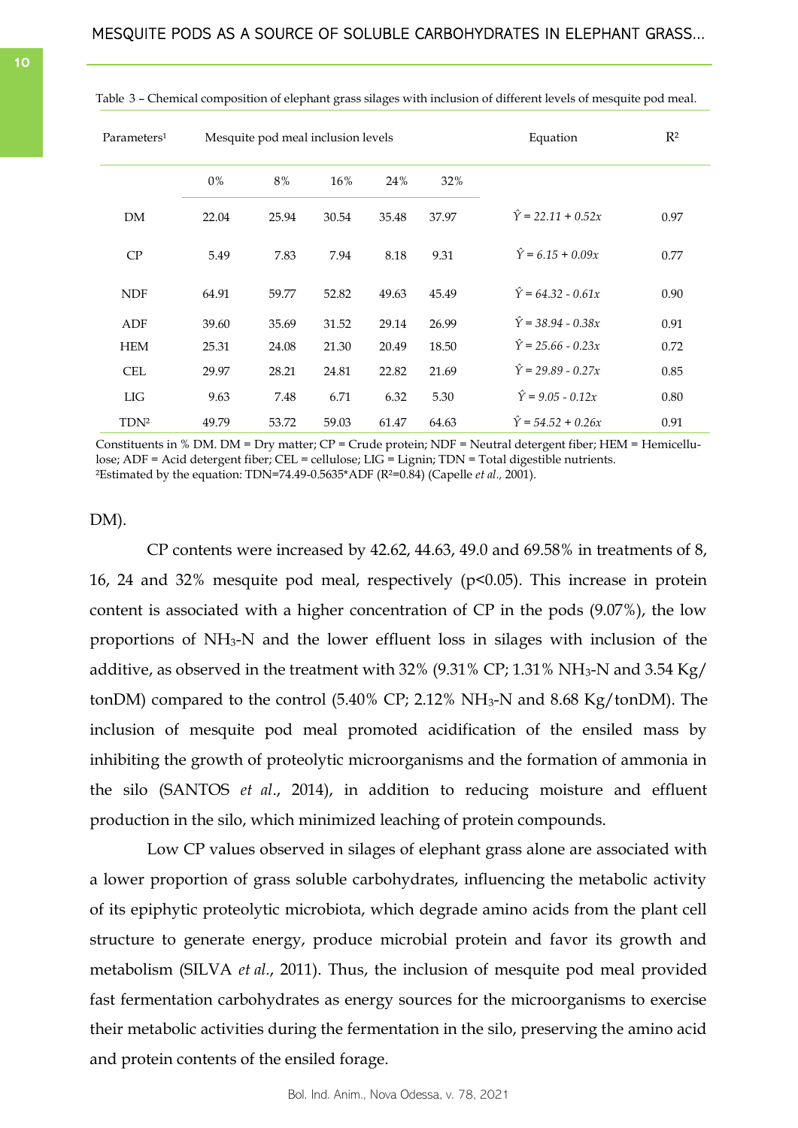| Parameters <sup>1</sup> |       | Mesquite pod meal inclusion levels |       | Equation | $R^2$ |                           |      |
|-------------------------|-------|------------------------------------|-------|----------|-------|---------------------------|------|
|                         | 0%    | 8%                                 | 16%   | 24%      | 32%   |                           |      |
| DM                      | 22.04 | 25.94                              | 30.54 | 35.48    | 37.97 | $\hat{Y} = 22.11 + 0.52x$ | 0.97 |
| CP                      | 5.49  | 7.83                               | 7.94  | 8.18     | 9.31  | $\hat{Y} = 6.15 + 0.09x$  | 0.77 |
| <b>NDF</b>              | 64.91 | 59.77                              | 52.82 | 49.63    | 45.49 | $\hat{Y} = 64.32 - 0.61x$ | 0.90 |
| ADF                     | 39.60 | 35.69                              | 31.52 | 29.14    | 26.99 | $\hat{Y} = 38.94 - 0.38x$ | 0.91 |
| <b>HEM</b>              | 25.31 | 24.08                              | 21.30 | 20.49    | 18.50 | $\hat{Y} = 25.66 - 0.23x$ | 0.72 |
| <b>CEL</b>              | 29.97 | 28.21                              | 24.81 | 22.82    | 21.69 | $\hat{Y} = 29.89 - 0.27x$ | 0.85 |
| LIG                     | 9.63  | 7.48                               | 6.71  | 6.32     | 5.30  | $\hat{Y} = 9.05 - 0.12x$  | 0.80 |
| TDN <sup>2</sup>        | 49.79 | 53.72                              | 59.03 | 61.47    | 64.63 | $\hat{Y} = 54.52 + 0.26x$ | 0.91 |

<span id="page-9-0"></span>Table 3 – Chemical composition of elephant grass silages with inclusion of different levels of mesquite pod meal.

Constituents in % DM. DM = Dry matter; CP = Crude protein; NDF = Neutral detergent fiber; HEM = Hemicellulose; ADF = Acid detergent fiber; CEL = cellulose; LIG = Lignin; TDN = Total digestible nutrients. ²Estimated by the equation: TDN=74.49-0.5635\*ADF (R²=0.84) (Capelle *et al.,* 2001).

# DM).

CP contents were increased by 42.62, 44.63, 49.0 and 69.58% in treatments of 8, 16, 24 and 32% mesquite pod meal, respectively (p<0.05). This increase in protein content is associated with a higher concentration of CP in the pods (9.07%), the low proportions of NH3-N and the lower effluent loss in silages with inclusion of the additive, as observed in the treatment with  $32\%$  (9.31% CP; 1.31% NH<sub>3</sub>-N and 3.54 Kg/ tonDM) compared to the control (5.40% CP; 2.12% NH3-N and 8.68 Kg/tonDM). The inclusion of mesquite pod meal promoted acidification of the ensiled mass by inhibiting the growth of proteolytic microorganisms and the formation of ammonia in the silo (SANTOS *et al*., 2014), in addition to reducing moisture and effluent production in the silo, which minimized leaching of protein compounds.

Low CP values observed in silages of elephant grass alone are associated with a lower proportion of grass soluble carbohydrates, influencing the metabolic activity of its epiphytic proteolytic microbiota, which degrade amino acids from the plant cell structure to generate energy, produce microbial protein and favor its growth and metabolism (SILVA *et al.*, 2011). Thus, the inclusion of mesquite pod meal provided fast fermentation carbohydrates as energy sources for the microorganisms to exercise their metabolic activities during the fermentation in the silo, preserving the amino acid and protein contents of the ensiled forage.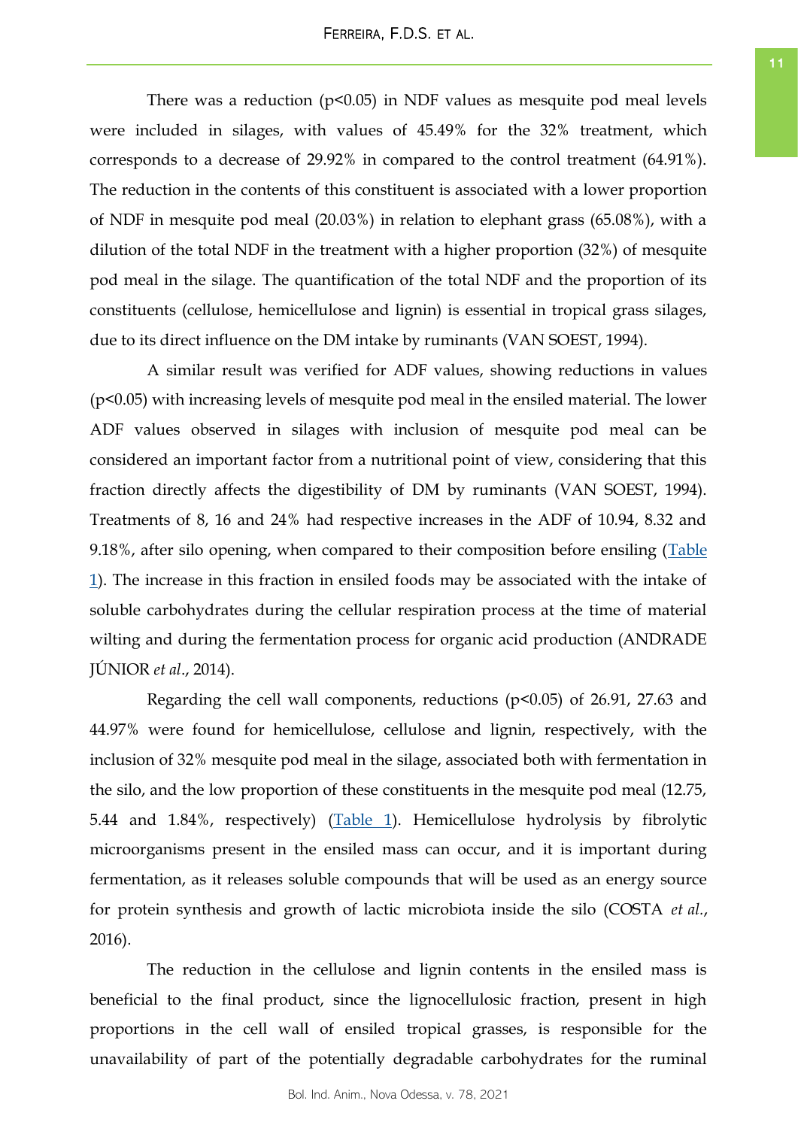There was a reduction  $(p<0.05)$  in NDF values as mesquite pod meal levels were included in silages, with values of 45.49% for the 32% treatment, which corresponds to a decrease of 29.92% in compared to the control treatment (64.91%). The reduction in the contents of this constituent is associated with a lower proportion of NDF in mesquite pod meal (20.03%) in relation to elephant grass (65.08%), with a dilution of the total NDF in the treatment with a higher proportion (32%) of mesquite pod meal in the silage. The quantification of the total NDF and the proportion of its constituents (cellulose, hemicellulose and lignin) is essential in tropical grass silages, due to its direct influence on the DM intake by ruminants (VAN SOEST, 1994).

A similar result was verified for ADF values, showing reductions in values (p<0.05) with increasing levels of mesquite pod meal in the ensiled material. The lower ADF values observed in silages with inclusion of mesquite pod meal can be considered an important factor from a nutritional point of view, considering that this fraction directly affects the digestibility of DM by ruminants (VAN SOEST, 1994). Treatments of 8, 16 and 24% had respective increases in the ADF of 10.94, 8.32 and 9.18%, after silo opening, when compared to their composition before ensiling ([Table](#page-3-0)  [1\)](#page-3-0). The increase in this fraction in ensiled foods may be associated with the intake of soluble carbohydrates during the cellular respiration process at the time of material wilting and during the fermentation process for organic acid production (ANDRADE JÚNIOR *et al*., 2014).

Regarding the cell wall components, reductions (p<0.05) of 26.91, 27.63 and 44.97% were found for hemicellulose, cellulose and lignin, respectively, with the inclusion of 32% mesquite pod meal in the silage, associated both with fermentation in the silo, and the low proportion of these constituents in the mesquite pod meal (12.75, 5.44 and 1.84%, respectively) ([Table 1\).](#page-3-0) Hemicellulose hydrolysis by fibrolytic microorganisms present in the ensiled mass can occur, and it is important during fermentation, as it releases soluble compounds that will be used as an energy source for protein synthesis and growth of lactic microbiota inside the silo (COSTA *et al.*, 2016).

The reduction in the cellulose and lignin contents in the ensiled mass is beneficial to the final product, since the lignocellulosic fraction, present in high proportions in the cell wall of ensiled tropical grasses, is responsible for the unavailability of part of the potentially degradable carbohydrates for the ruminal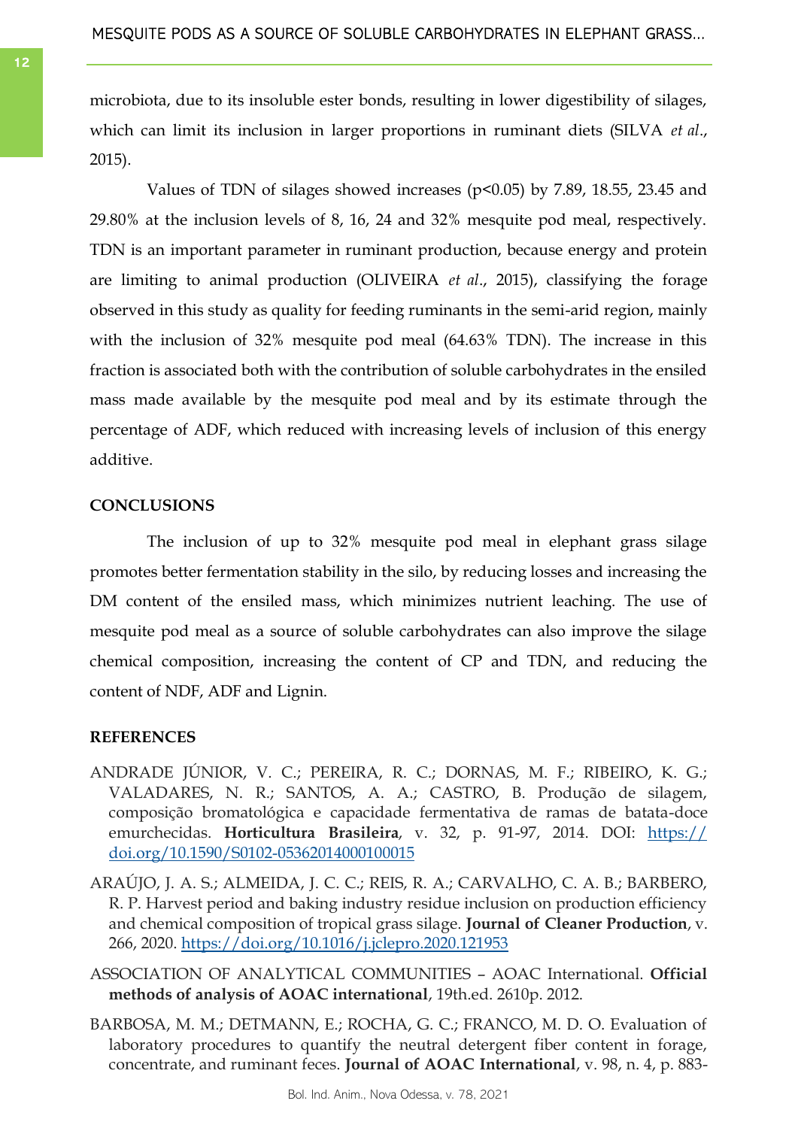microbiota, due to its insoluble ester bonds, resulting in lower digestibility of silages, which can limit its inclusion in larger proportions in ruminant diets (SILVA *et al*., 2015).

Values of TDN of silages showed increases ( $p<0.05$ ) by 7.89, 18.55, 23.45 and 29.80% at the inclusion levels of 8, 16, 24 and 32% mesquite pod meal, respectively. TDN is an important parameter in ruminant production, because energy and protein are limiting to animal production (OLIVEIRA *et al*., 2015), classifying the forage observed in this study as quality for feeding ruminants in the semi-arid region, mainly with the inclusion of 32% mesquite pod meal (64.63% TDN). The increase in this fraction is associated both with the contribution of soluble carbohydrates in the ensiled mass made available by the mesquite pod meal and by its estimate through the percentage of ADF, which reduced with increasing levels of inclusion of this energy additive.

# **CONCLUSIONS**

The inclusion of up to 32% mesquite pod meal in elephant grass silage promotes better fermentation stability in the silo, by reducing losses and increasing the DM content of the ensiled mass, which minimizes nutrient leaching. The use of mesquite pod meal as a source of soluble carbohydrates can also improve the silage chemical composition, increasing the content of CP and TDN, and reducing the content of NDF, ADF and Lignin.

# **REFERENCES**

- ANDRADE JÚNIOR, V. C.; PEREIRA, R. C.; DORNAS, M. F.; RIBEIRO, K. G.; VALADARES, N. R.; SANTOS, A. A.; CASTRO, B. Produção de silagem, composição bromatológica e capacidade fermentativa de ramas de batata-doce emurchecidas. **Horticultura Brasileira**, v. 32, p. 91-97, 2014. DOI: [https://](https://doi.org/10.1590/S0102-05362014000100015) [doi.org/10.1590/S0102-05362014000100015](https://doi.org/10.1590/S0102-05362014000100015)
- ARAÚJO, J. A. S.; ALMEIDA, J. C. C.; REIS, R. A.; CARVALHO, C. A. B.; BARBERO, R. P. Harvest period and baking industry residue inclusion on production efficiency and chemical composition of tropical grass silage. **Journal of Cleaner Production**, v. 266, 2020.<https://doi.org/10.1016/j.jclepro.2020.121953>
- ASSOCIATION OF ANALYTICAL COMMUNITIES AOAC International. **Official methods of analysis of AOAC international**, 19th.ed. 2610p. 2012.
- BARBOSA, M. M.; DETMANN, E.; ROCHA, G. C.; FRANCO, M. D. O. Evaluation of laboratory procedures to quantify the neutral detergent fiber content in forage, concentrate, and ruminant feces. **Journal of AOAC International**, v. 98, n. 4, p. 883-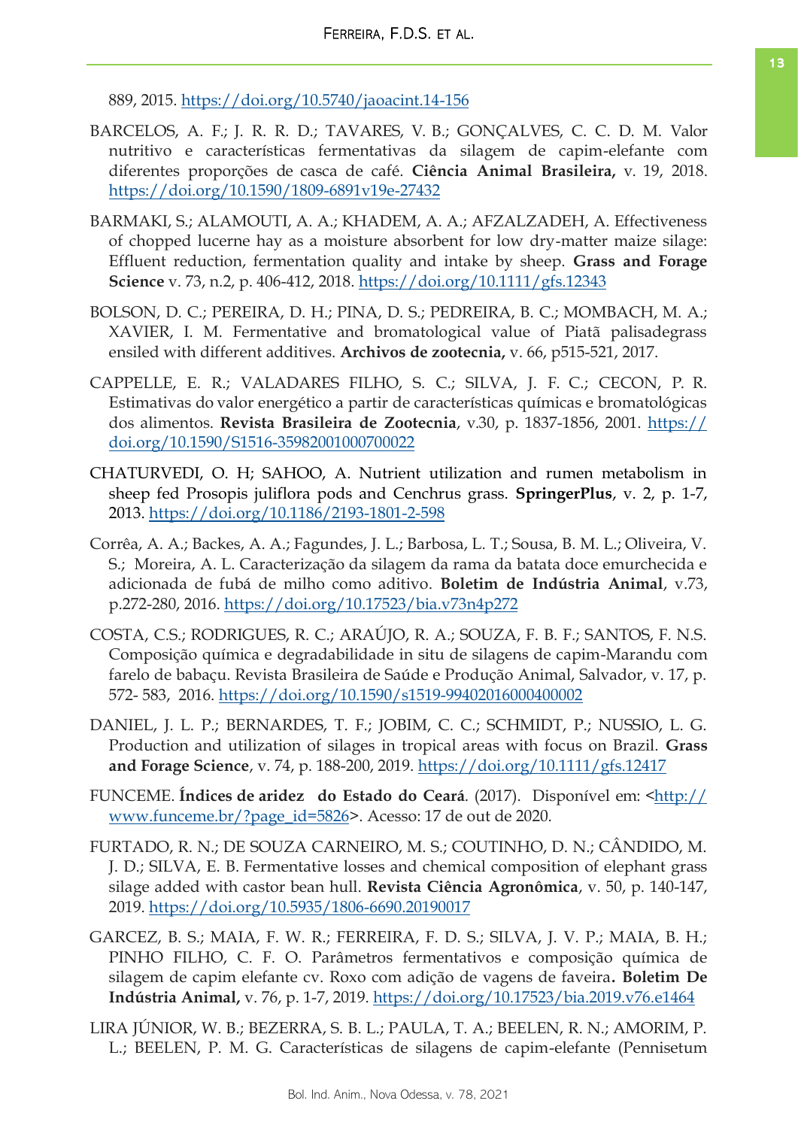889, 2015.<https://doi.org/10.5740/jaoacint.14-156>

- BARCELOS, A. F.; J. R. R. D.; TAVARES, V. B.; GONÇALVES, C. C. D. M. Valor nutritivo e características fermentativas da silagem de capim-elefante com diferentes proporções de casca de café. **Ciência Animal Brasileira,** v. 19, 2018. <https://doi.org/10.1590/1809-6891v19e-27432>
- BARMAKI, S.; ALAMOUTI, A. A.; KHADEM, A. A.; AFZALZADEH, A. Effectiveness of chopped lucerne hay as a moisture absorbent for low dry‐matter maize silage: Effluent reduction, fermentation quality and intake by sheep. **Grass and Forage Science** v. 73, n.2, p. 406-412, 2018. <https://doi.org/10.1111/gfs.12343>
- BOLSON, D. C.; PEREIRA, D. H.; PINA, D. S.; PEDREIRA, B. C.; MOMBACH, M. A.; XAVIER, I. M. Fermentative and bromatological value of Piatã palisadegrass ensiled with different additives. **Archivos de zootecnia,** v. 66, p515-521, 2017.
- CAPPELLE, E. R.; VALADARES FILHO, S. C.; SILVA, J. F. C.; CECON, P. R. Estimativas do valor energético a partir de características químicas e bromatológicas dos alimentos. **Revista Brasileira de Zootecnia**, v.30, p. 1837-1856, 2001. [https://](https://doi.org/10.1590/S1516-35982001000700022) [doi.org/10.1590/S1516-35982001000700022](https://doi.org/10.1590/S1516-35982001000700022)
- CHATURVEDI, O. H; SAHOO, A. Nutrient utilization and rumen metabolism in sheep fed Prosopis juliflora pods and Cenchrus grass. **SpringerPlus**, v. 2, p. 1-7, 2013.<https://doi.org/10.1186/2193-1801-2-598>
- Corrêa, A. A.; Backes, A. A.; Fagundes, J. L.; Barbosa, L. T.; Sousa, B. M. L.; Oliveira, V. S.; Moreira, A. L. Caracterização da silagem da rama da batata doce emurchecida e adicionada de fubá de milho como aditivo. **Boletim de Indústria Animal**, v.73, p.272-280, 2016.<https://doi.org/10.17523/bia.v73n4p272>
- COSTA, C.S.; RODRIGUES, R. C.; ARAÚJO, R. A.; SOUZA, F. B. F.; SANTOS, F. N.S. Composição química e degradabilidade in situ de silagens de capim-Marandu com farelo de babaçu. Revista Brasileira de Saúde e Produção Animal, Salvador, v. 17, p. 572- 583, 2016.<https://doi.org/10.1590/s1519-99402016000400002>
- DANIEL, J. L. P.; BERNARDES, T. F.; JOBIM, C. C.; SCHMIDT, P.; NUSSIO, L. G. Production and utilization of silages in tropical areas with focus on Brazil. **Grass and Forage Science**, v. 74, p. 188-200, 2019. <https://doi.org/10.1111/gfs.12417>
- FUNCEME. **Índices de aridez** do Estado do Ceará. (2017). Disponível em: [<http://](http://www.funceme.br/?page_id=5826) [www.funceme.br/?page\\_id=5826>.](http://www.funceme.br/?page_id=5826) Acesso: 17 de out de 2020.
- FURTADO, R. N.; DE SOUZA CARNEIRO, M. S.; COUTINHO, D. N.; CÂNDIDO, M. J. D.; SILVA, E. B. Fermentative losses and chemical composition of elephant grass silage added with castor bean hull. **Revista Ciência Agronômica**, v. 50, p. 140-147, 2019.<https://doi.org/10.5935/1806-6690.20190017>
- GARCEZ, B. S.; MAIA, F. W. R.; FERREIRA, F. D. S.; SILVA, J. V. P.; MAIA, B. H.; PINHO FILHO, C. F. O. Parâmetros fermentativos e composição química de silagem de capim elefante cv. Roxo com adição de vagens de faveira**. Boletim De Indústria Animal,** v. 76, p. 1-7, 2019.<https://doi.org/10.17523/bia.2019.v76.e1464>
- LIRA JÚNIOR, W. B.; BEZERRA, S. B. L.; PAULA, T. A.; BEELEN, R. N.; AMORIM, P. L.; BEELEN, P. M. G. Características de silagens de capim-elefante (Pennisetum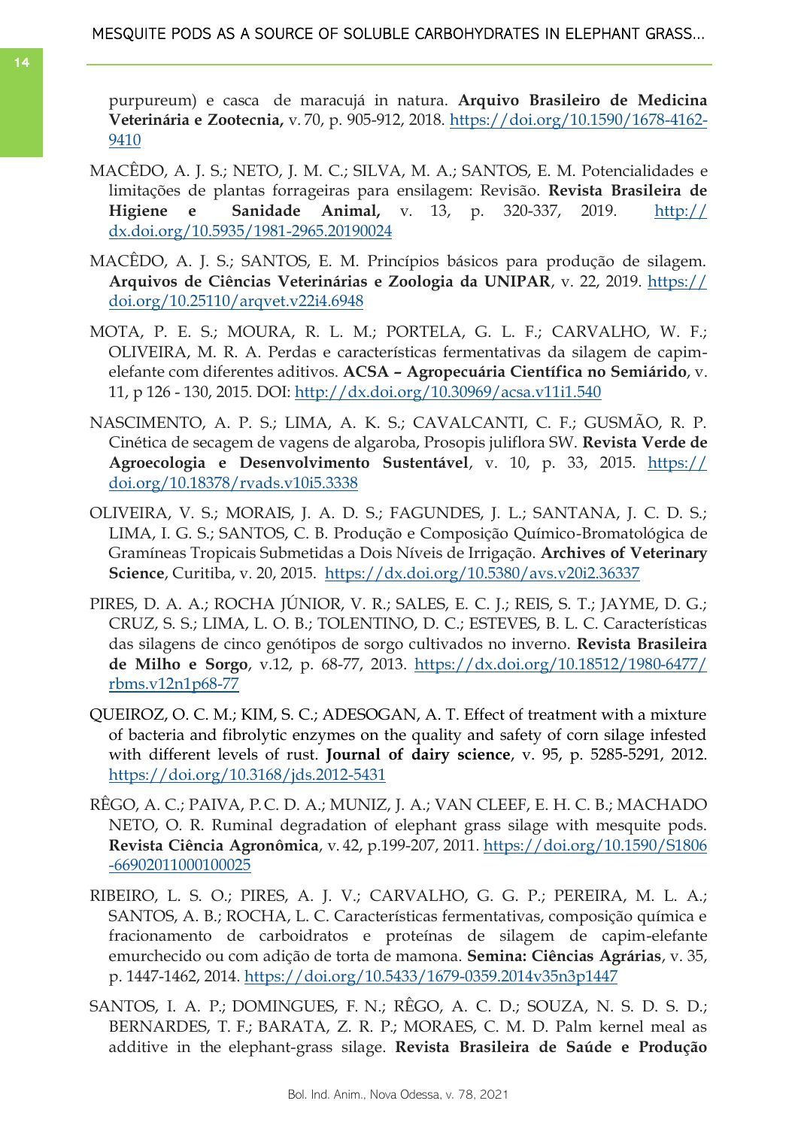purpureum) e casca de maracujá in natura. **Arquivo Brasileiro de Medicina Veterinária e Zootecnia,** v. 70, p. 905-912, 2018. [https://doi.org/10.1590/1678-4162-](https://doi.org/10.1590/1678-4162-9410) [9410](https://doi.org/10.1590/1678-4162-9410)

- MACÊDO, A. J. S.; NETO, J. M. C.; SILVA, M. A.; SANTOS, E. M. Potencialidades e limitações de plantas forrageiras para ensilagem: Revisão. **Revista Brasileira de Higiene e Sanidade Animal,** v. 13, p. 320-337, 2019. [http://](http://dx.doi.org/10.5935/1981-2965.20190024) [dx.doi.org/10.5935/1981-2965.20190024](http://dx.doi.org/10.5935/1981-2965.20190024)
- MACÊDO, A. J. S.; SANTOS, E. M. Princípios básicos para produção de silagem. **Arquivos de Ciências Veterinárias e Zoologia da UNIPAR**, v. 22, 2019. [https://](https://doi.org/10.25110/arqvet.v22i4.6948) [doi.org/10.25110/arqvet.v22i4.6948](https://doi.org/10.25110/arqvet.v22i4.6948)
- MOTA, P. E. S.; MOURA, R. L. M.; PORTELA, G. L. F.; CARVALHO, W. F.; OLIVEIRA, M. R. A. Perdas e características fermentativas da silagem de capimelefante com diferentes aditivos. **ACSA – Agropecuária Científica no Semiárido**, v. 11, p 126 - 130, 2015. DOI:<http://dx.doi.org/10.30969/acsa.v11i1.540>
- NASCIMENTO, A. P. S.; LIMA, A. K. S.; CAVALCANTI, C. F.; GUSMÃO, R. P. Cinética de secagem de vagens de algaroba, Prosopis juliflora SW. **Revista Verde de Agroecologia e Desenvolvimento Sustentável**, v. 10, p. 33, 2015. [https://](https://doi.org/10.18378/rvads.v10i5.3338) [doi.org/10.18378/rvads.v10i5.3338](https://doi.org/10.18378/rvads.v10i5.3338)
- OLIVEIRA, V. S.; MORAIS, J. A. D. S.; FAGUNDES, J. L.; SANTANA, J. C. D. S.; LIMA, I. G. S.; SANTOS, C. B. Produção e Composição Químico-Bromatológica de Gramíneas Tropicais Submetidas a Dois Níveis de Irrigação. **Archives of Veterinary Science**, Curitiba, v. 20, 2015. <https://dx.doi.org/10.5380/avs.v20i2.36337>
- PIRES, D. A. A.; ROCHA JÚNIOR, V. R.; SALES, E. C. J.; REIS, S. T.; JAYME, D. G.; CRUZ, S. S.; LIMA, L. O. B.; TOLENTINO, D. C.; ESTEVES, B. L. C. Características das silagens de cinco genótipos de sorgo cultivados no inverno. **Revista Brasileira de Milho e Sorgo**, v.12, p. 68-77, 2013. [https://dx.doi.org/10.18512/1980-6477/](https://dx.doi.org/10.18512/1980-6477/rbms.v12n1p68-77) [rbms.v12n1p68-77](https://dx.doi.org/10.18512/1980-6477/rbms.v12n1p68-77)
- QUEIROZ, O. C. M.; KIM, S. C.; ADESOGAN, A. T. Effect of treatment with a mixture of bacteria and fibrolytic enzymes on the quality and safety of corn silage infested with different levels of rust. **Journal of dairy science**, v. 95, p. 5285-5291, 2012. <https://doi.org/10.3168/jds.2012-5431>
- RÊGO, A. C.; PAIVA, P. C. D. A.; MUNIZ, J. A.; VAN CLEEF, E. H. C. B.; MACHADO NETO, O. R. Ruminal degradation of elephant grass silage with mesquite pods. **Revista Ciência Agronômica**, v. 42, p.199-207, 2011. [https://doi.org/10.1590/S1806](https://doi.org/10.1590/S1806-66902011000100025) [-66902011000100025](https://doi.org/10.1590/S1806-66902011000100025)
- RIBEIRO, L. S. O.; PIRES, A. J. V.; CARVALHO, G. G. P.; PEREIRA, M. L. A.; SANTOS, A. B.; ROCHA, L. C. Características fermentativas, composição química e fracionamento de carboidratos e proteínas de silagem de capim-elefante emurchecido ou com adição de torta de mamona. **Semina: Ciências Agrárias**, v. 35, p. 1447-1462, 2014.<https://doi.org/10.5433/1679-0359.2014v35n3p1447>
- SANTOS, I. A. P.; DOMINGUES, F. N.; RÊGO, A. C. D.; SOUZA, N. S. D. S. D.; BERNARDES, T. F.; BARATA, Z. R. P.; MORAES, C. M. D. Palm kernel meal as additive in the elephant-grass silage. **Revista Brasileira de Saúde e Produção**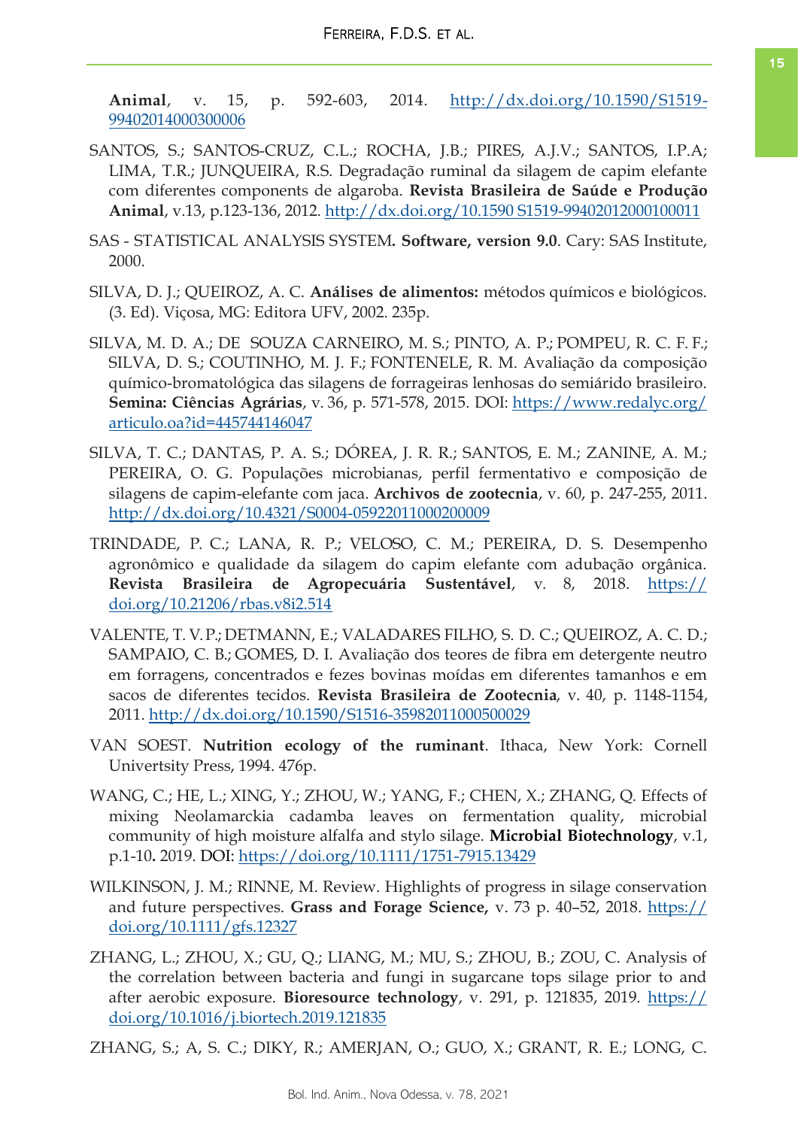**Animal**, v. 15, p. 592-603, 2014. [http://dx.doi.org/10.1590/S1519-](http://dx.doi.org/10.1590/S1519-99402014000300006) [99402014000300006](http://dx.doi.org/10.1590/S1519-99402014000300006)

- SANTOS, S.; SANTOS-CRUZ, C.L.; ROCHA, J.B.; PIRES, A.J.V.; SANTOS, I.P.A; LIMA, T.R.; JUNQUEIRA, R.S. Degradação ruminal da silagem de capim elefante com diferentes components de algaroba. **Revista Brasileira de Saúde e Produção Animal**, v.13, p.123-136, 2012. [http://dx.doi.org/10.1590 S1519-99402012000100011](http://dx.doi.org/10.1590%20S1519-99402012000100011)
- SAS STATISTICAL ANALYSIS SYSTEM**. Software, version 9.0**. Cary: SAS Institute, 2000.
- SILVA, D. J.; QUEIROZ, A. C. **Análises de alimentos:** métodos químicos e biológicos. (3. Ed). Viçosa, MG: Editora UFV, 2002. 235p.
- SILVA, M. D. A.; DE SOUZA CARNEIRO, M. S.; PINTO, A. P.; POMPEU, R. C. F. F.; SILVA, D. S.; COUTINHO, M. J. F.; FONTENELE, R. M. Avaliação da composição químico-bromatológica das silagens de forrageiras lenhosas do semiárido brasileiro. **Semina: Ciências Agrárias**, v. 36, p. 571-578, 2015. DOI: [https://www.redalyc.org/](https://www.redalyc.org/articulo.oa?id=445744146047) [articulo.oa?id=445744146047](https://www.redalyc.org/articulo.oa?id=445744146047)
- SILVA, T. C.; DANTAS, P. A. S.; DÓREA, J. R. R.; SANTOS, E. M.; ZANINE, A. M.; PEREIRA, O. G. Populações microbianas, perfil fermentativo e composição de silagens de capim-elefante com jaca. **Archivos de zootecnia**, v. 60, p. 247-255, 2011. <http://dx.doi.org/10.4321/S0004-05922011000200009>
- TRINDADE, P. C.; LANA, R. P.; VELOSO, C. M.; PEREIRA, D. S. Desempenho agronômico e qualidade da silagem do capim elefante com adubação orgânica. **Revista Brasileira de Agropecuária Sustentável**, v. 8, 2018. [https://](https://doi.org/10.21206/rbas.v8i2.514) [doi.org/10.21206/rbas.v8i2.514](https://doi.org/10.21206/rbas.v8i2.514)
- VALENTE, T. V. P.; DETMANN, E.; VALADARES FILHO, S. D. C.; QUEIROZ, A. C. D.; SAMPAIO, C. B.; GOMES, D. I. Avaliação dos teores de fibra em detergente neutro em forragens, concentrados e fezes bovinas moídas em diferentes tamanhos e em sacos de diferentes tecidos. **Revista Brasileira de Zootecnia**, v. 40, p. 1148-1154, 2011.<http://dx.doi.org/10.1590/S1516-35982011000500029>
- VAN SOEST. **Nutrition ecology of the ruminant**. Ithaca, New York: Cornell Univertsity Press, 1994. 476p.
- WANG, C.; HE, L.; XING, Y.; ZHOU, W.; YANG, F.; CHEN, X.; ZHANG, Q. Effects of mixing Neolamarckia cadamba leaves on fermentation quality, microbial community of high moisture alfalfa and stylo silage. **Microbial Biotechnology**, v.1, p.1-10**.** 2019. [DOI:](https://doi.org/10.1111/1751-7915.13429) <https://doi.org/10.1111/1751-7915.13429>
- WILKINSON, J. M.; RINNE, M. Review. Highlights of progress in silage conservation and future perspectives. **Grass and Forage Science,** v. 73 p. 40–52, 2018. [https://](https://doi.org/10.1111/gfs.12327) [doi.org/10.1111/gfs.12327](https://doi.org/10.1111/gfs.12327)
- ZHANG, L.; ZHOU, X.; GU, Q.; LIANG, M.; MU, S.; ZHOU, B.; ZOU, C. Analysis of the correlation between bacteria and fungi in sugarcane tops silage prior to and after aerobic exposure. **Bioresource technology**, v. 291, p. 121835, 2019. [https://](https://doi.org/10.1016/j.biortech.2019.121835) [doi.org/10.1016/j.biortech.2019.121835](https://doi.org/10.1016/j.biortech.2019.121835)

ZHANG, S.; A, S. C.; DIKY, R.; AMERJAN, O.; GUO, X.; GRANT, R. E.; LONG, C.